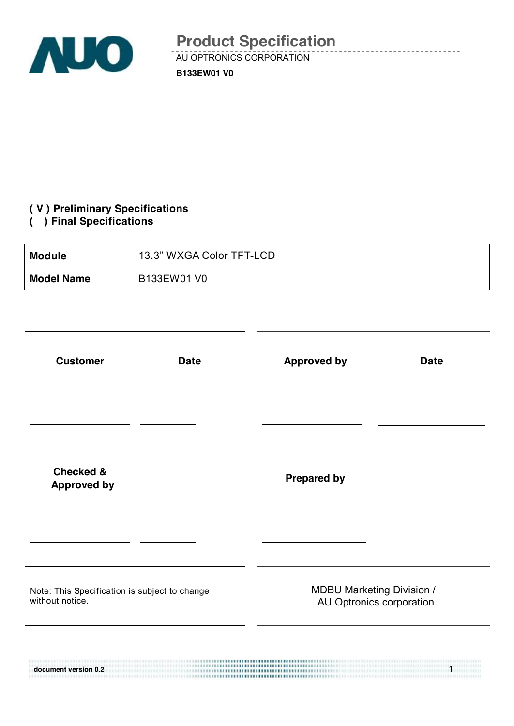

**B133EW01 V0**

### **( V ) Preliminary Specifications**

#### **( ) Final Specifications**

| 13.3" WXGA Color TFT-LCD<br><b>Module</b> |             |
|-------------------------------------------|-------------|
| <b>Model Name</b>                         | B133EW01 V0 |

| <b>Customer</b><br><b>Date</b>                                   | <b>Approved by</b><br><b>Date</b>                            |
|------------------------------------------------------------------|--------------------------------------------------------------|
|                                                                  |                                                              |
| <b>Checked &amp;</b><br><b>Approved by</b>                       | <b>Prepared by</b>                                           |
|                                                                  |                                                              |
| Note: This Specification is subject to change<br>without notice. | <b>MDBU Marketing Division /</b><br>AU Optronics corporation |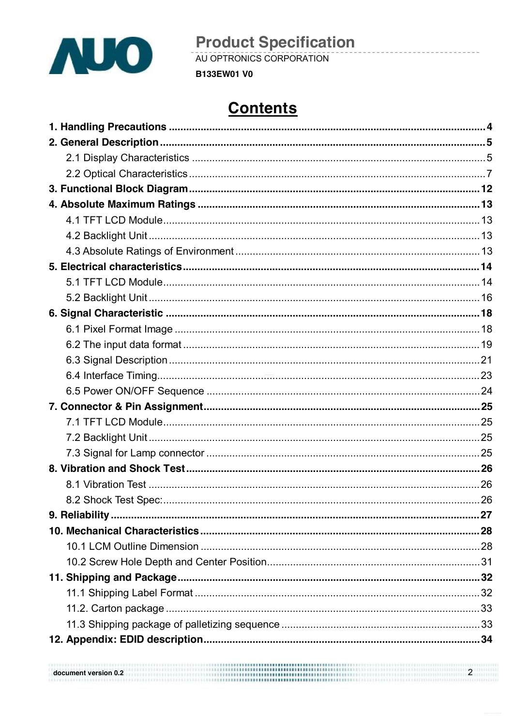

**Product Specification**<br>AU OPTRONICS CORPORATION

**B133EW01 V0** 

# **Contents**

 $\overline{2}$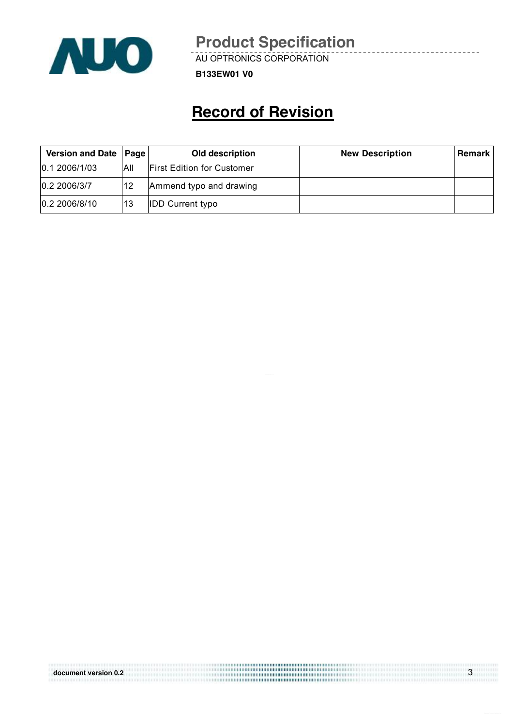

AU OPTRONICS CORPORATION

**B133EW01 V0**

# **Record of Revision**

| Version and Date   Page |     | Old description                   | <b>New Description</b> | <b>Remark</b> |
|-------------------------|-----|-----------------------------------|------------------------|---------------|
| 0.12006/1/03            | All | <b>First Edition for Customer</b> |                        |               |
| 0.2 2006/3/7            | 12  | Ammend typo and drawing           |                        |               |
| 0.2 2006/8/10           | 13  | <b>IDD Current typo</b>           |                        |               |

| document version 0.2 | <br>,,,,,,,,,,,,,,,,,,,,,,,,,,,,,,,,,,,, |  |
|----------------------|------------------------------------------|--|
|                      | <b></b>                                  |  |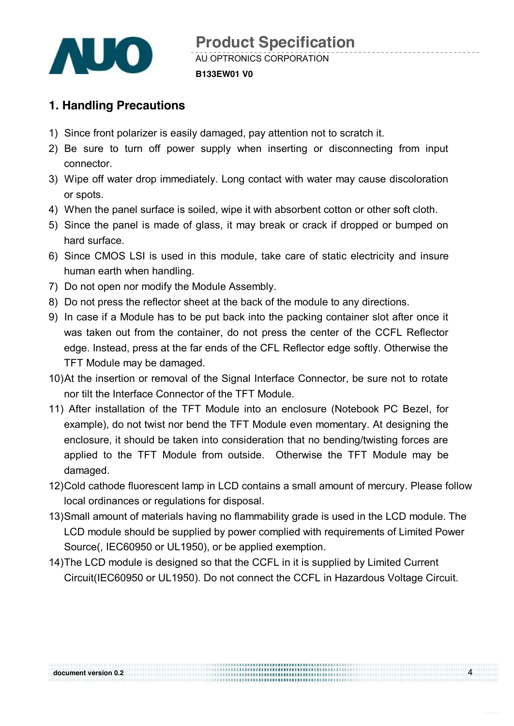

## **1. Handling Precautions**

- 1) Since front polarizer is easily damaged, pay attention not to scratch it.
- 2) Be sure to turn off power supply when inserting or disconnecting from input connector.
- 3) Wipe off water drop immediately. Long contact with water may cause discoloration or spots.
- 4) When the panel surface is soiled, wipe it with absorbent cotton or other soft cloth.
- 5) Since the panel is made of glass, it may break or crack if dropped or bumped on hard surface.
- 6) Since CMOS LSI is used in this module, take care of static electricity and insure human earth when handling.
- 7) Do not open nor modify the Module Assembly.
- 8) Do not press the reflector sheet at the back of the module to any directions.
- 9) In case if a Module has to be put back into the packing container slot after once it was taken out from the container, do not press the center of the CCFL Reflector edge. Instead, press at the far ends of the CFL Reflector edge softly. Otherwise the TFT Module may be damaged.
- 10) At the insertion or removal of the Signal Interface Connector, be sure not to rotate nor tilt the Interface Connector of the TFT Module.
- 11) After installation of the TFT Module into an enclosure (Notebook PC Bezel, for example), do not twist nor bend the TFT Module even momentary. At designing the enclosure, it should be taken into consideration that no bending/twisting forces are applied to the TFT Module from outside. Otherwise the TFT Module may be damaged.
- 12)Cold cathode fluorescent lamp in LCD contains a small amount of mercury. Please follow local ordinances or regulations for disposal.
- 13)Small amount of materials having no flammability grade is used in the LCD module. The LCD module should be supplied by power complied with requirements of Limited Power Source(, IEC60950 or UL1950), or be applied exemption.
- 14)The LCD module is designed so that the CCFL in it is supplied by Limited Current Circuit(IEC60950 or UL1950). Do not connect the CCFL in Hazardous Voltage Circuit.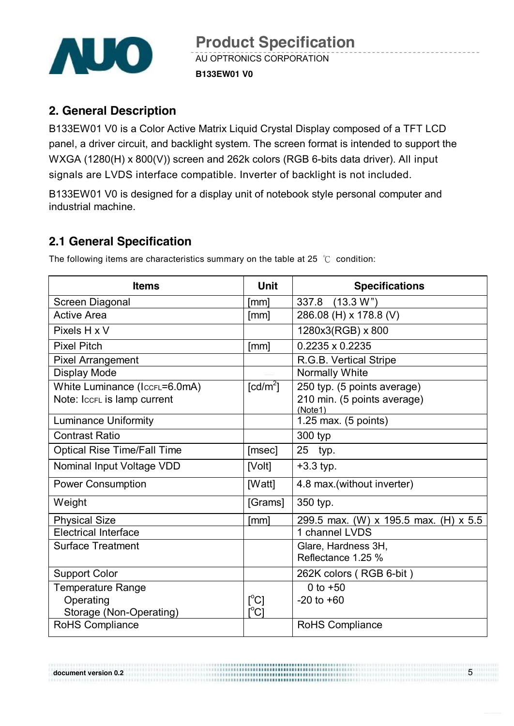

## **2. General Description**

B133EW01 V0 is a Color Active Matrix Liquid Crystal Display composed of a TFT LCD panel, a driver circuit, and backlight system. The screen format is intended to support the WXGA (1280(H) x 800(V)) screen and 262k colors (RGB 6-bits data driver). All input signals are LVDS interface compatible. Inverter of backlight is not included.

B133EW01 V0 is designed for a display unit of notebook style personal computer and industrial machine.

## **2.1 General Specification**

The following items are characteristics summary on the table at 25 ℃ condition:

| <b>Items</b>                       | <b>Unit</b>                   | <b>Specifications</b>                  |
|------------------------------------|-------------------------------|----------------------------------------|
| Screen Diagonal                    | [mm]                          | 337.8 (13.3 W")                        |
| <b>Active Area</b>                 | [mm]                          | 286.08 (H) x 178.8 (V)                 |
| Pixels H x V                       |                               | 1280x3(RGB) x 800                      |
| <b>Pixel Pitch</b>                 | [mm]                          | $0.2235 \times 0.2235$                 |
| <b>Pixel Arrangement</b>           |                               | R.G.B. Vertical Stripe                 |
| Display Mode                       |                               | Normally White                         |
| White Luminance (IccrL=6.0mA)      | $\lceil cd/m^2 \rceil$        | 250 typ. (5 points average)            |
| Note: IccFL is lamp current        |                               | 210 min. (5 points average)<br>(Note1) |
| <b>Luminance Uniformity</b>        |                               | 1.25 max. (5 points)                   |
| <b>Contrast Ratio</b>              |                               | 300 typ                                |
| <b>Optical Rise Time/Fall Time</b> | [msec]                        | 25<br>typ.                             |
| Nominal Input Voltage VDD          | [Volt]                        | $+3.3$ typ.                            |
| <b>Power Consumption</b>           | [Watt]                        | 4.8 max.(without inverter)             |
| Weight                             | [Grams]                       | 350 typ.                               |
| <b>Physical Size</b>               | [mm]                          | 299.5 max. (W) x 195.5 max. (H) x 5.5  |
| <b>Electrical Interface</b>        |                               | 1 channel LVDS                         |
| <b>Surface Treatment</b>           |                               | Glare, Hardness 3H,                    |
|                                    |                               | Reflectance 1.25 %                     |
| <b>Support Color</b>               |                               | 262K colors (RGB 6-bit)                |
| Temperature Range                  |                               | 0 to $+50$                             |
| Operating                          | $\lceil{^{\circ}C}\rceil$     | $-20$ to $+60$                         |
| Storage (Non-Operating)            | $\mathsf{I}^\circ\mathsf{C}1$ |                                        |
| <b>RoHS Compliance</b>             |                               | RoHS Compliance                        |

\*\*\*\*\*\*\*\*\*\*\*\*\*\*\*\*\*\*\*\*\*\*\*\*\*\*\*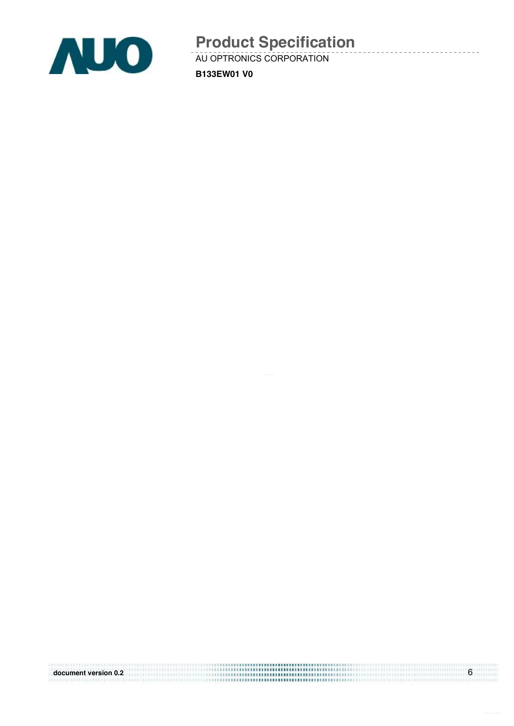

AU OPTRONICS CORPORATION

**B133EW01 V0**

| document version 0.2 |         |  |
|----------------------|---------|--|
|                      | <b></b> |  |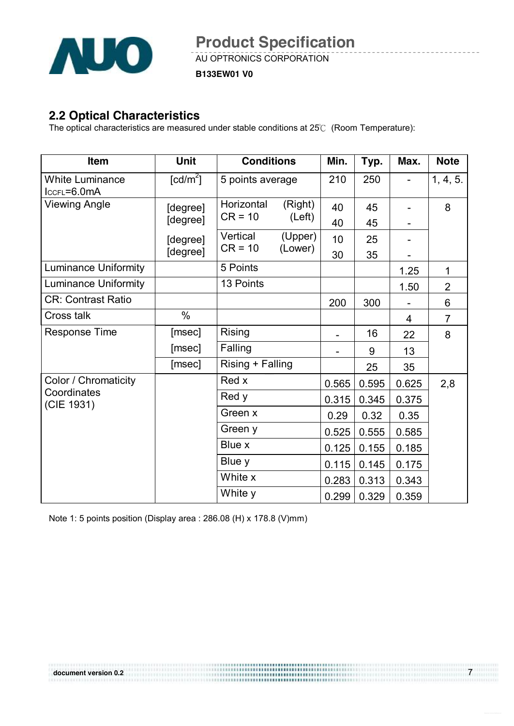

**B133EW01 V0**

### **2.2 Optical Characteristics**

The optical characteristics are measured under stable conditions at 25℃ (Room Temperature):

| Item                                      | <b>Unit</b>            | <b>Conditions</b> |         | Min.  | Typ.  | Max.  | <b>Note</b>    |
|-------------------------------------------|------------------------|-------------------|---------|-------|-------|-------|----------------|
| <b>White Luminance</b><br>$lccFL = 6.0mA$ | $\lceil cd/m^2 \rceil$ | 5 points average  |         | 210   | 250   |       | 1, 4, 5.       |
| Viewing Angle                             | [degree]               | Horizontal        | (Right) | 40    | 45    |       | 8              |
|                                           | [degree]               | $CR = 10$         | (Left)  | 40    | 45    |       |                |
|                                           | [degree]               | Vertical          | (Upper) | 10    | 25    |       |                |
|                                           | [degree]               | $CR = 10$         | (Lower) | 30    | 35    |       |                |
| <b>Luminance Uniformity</b>               |                        | 5 Points          |         |       |       | 1.25  | $\mathbf{1}$   |
| <b>Luminance Uniformity</b>               |                        | 13 Points         |         |       |       | 1.50  | $\overline{2}$ |
| <b>CR: Contrast Ratio</b>                 |                        |                   |         | 200   | 300   |       | 6              |
| Cross talk                                | $\frac{0}{0}$          |                   |         |       |       | 4     | $\overline{7}$ |
| <b>Response Time</b>                      | [msec]                 | <b>Rising</b>     |         |       | 16    | 22    | 8              |
|                                           | [msec]                 | Falling           |         |       | 9     | 13    |                |
|                                           | [msec]                 | Rising + Falling  |         |       | 25    | 35    |                |
| Color / Chromaticity                      |                        | Red x             |         | 0.565 | 0.595 | 0.625 | 2,8            |
| Coordinates<br>(CIE 1931)                 |                        | Red y             |         | 0.315 | 0.345 | 0.375 |                |
|                                           |                        | Green x           |         | 0.29  | 0.32  | 0.35  |                |
|                                           |                        | Green y           |         | 0.525 | 0.555 | 0.585 |                |
|                                           |                        | Blue x            |         | 0.125 | 0.155 | 0.185 |                |
|                                           |                        | Blue y            |         | 0.115 | 0.145 | 0.175 |                |
|                                           |                        | White x           |         | 0.283 | 0.313 | 0.343 |                |
|                                           |                        | White y           |         | 0.299 | 0.329 | 0.359 |                |

Note 1: 5 points position (Display area : 286.08 (H) x 178.8 (V)mm)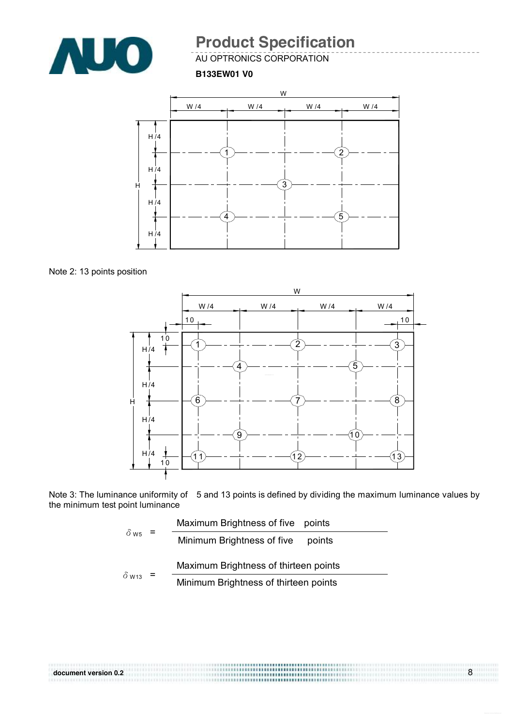

AU OPTRONICS CORPORATION

**B133EW01 V0**



Note 2: 13 points position



Note 3: The luminance uniformity of 5 and 13 points is defined by dividing the maximum luminance values by the minimum test point luminance

| $\delta$ w <sub>5</sub><br>= | Maximum Brightness of five points     |                                       |
|------------------------------|---------------------------------------|---------------------------------------|
|                              |                                       | Minimum Brightness of five<br>points  |
|                              |                                       | Maximum Brightness of thirteen points |
| $\delta$ W13                 | Minimum Brightness of thirteen points |                                       |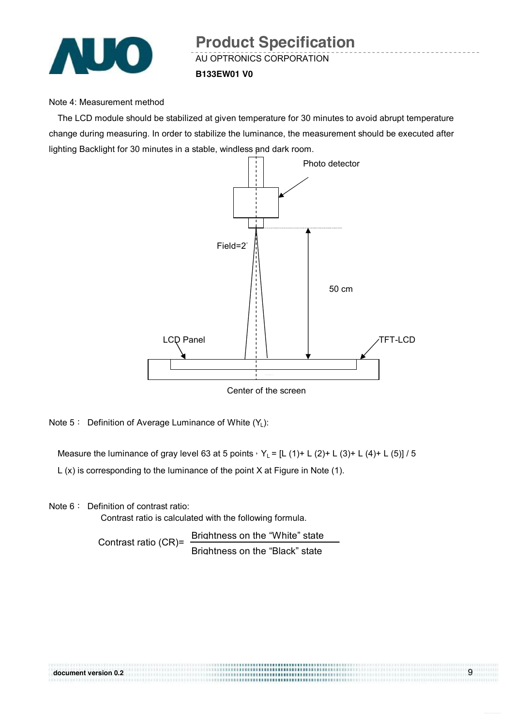

#### Note 4: Measurement method

The LCD module should be stabilized at given temperature for 30 minutes to avoid abrupt temperature change during measuring. In order to stabilize the luminance, the measurement should be executed after lighting Backlight for 30 minutes in a stable, windless and dark room.



Center of the screen

Note 5: Definition of Average Luminance of White (Y<sub>L</sub>):

Measure the luminance of gray level 63 at 5 points,  $Y_L = [L (1) + L (2) + L (3) + L (4) + L (5)] / 5$ 

L (x) is corresponding to the luminance of the point X at Figure in Note (1).

Note 6: Definition of contrast ratio:

Contrast ratio is calculated with the following formula.

Contrast ratio (CR)= Brightness on the "White" state Brightness on the "Black" state

| document version 0.2 |  |
|----------------------|--|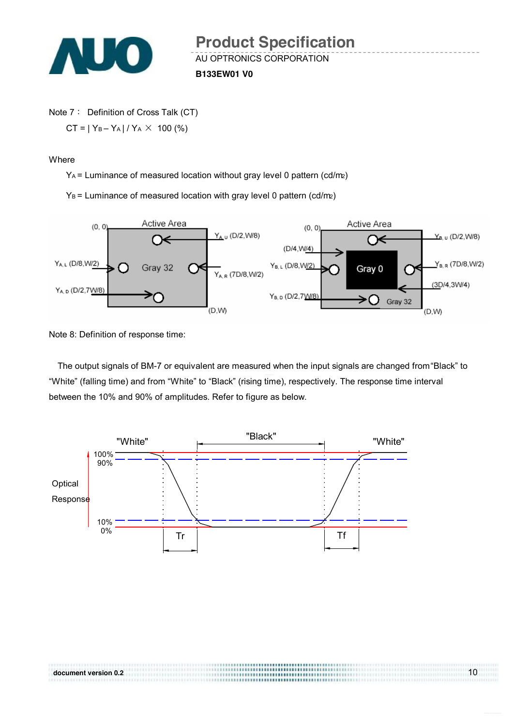

Note 7: Definition of Cross Talk (CT)  $CT = |Y_B - Y_A| / Y_A \times 100$  (%)

**Where** 

YA = Luminance of measured location without gray level 0 pattern (cd/m2)

 $Y_B$  = Luminance of measured location with gray level 0 pattern (cd/m2)



Note 8: Definition of response time:

The output signals of BM-7 or equivalent are measured when the input signals are changed from "Black" to "White" (falling time) and from "White" to "Black" (rising time), respectively. The response time interval between the 10% and 90% of amplitudes. Refer to figure as below.

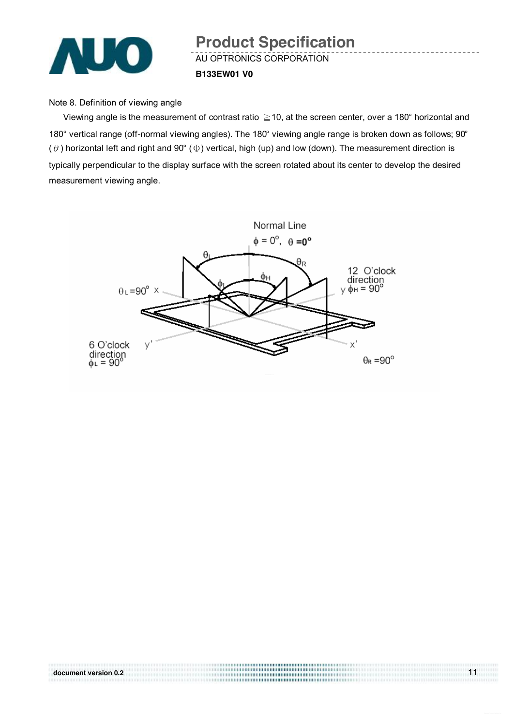

#### Note 8. Definition of viewing angle

Viewing angle is the measurement of contrast ratio ≧10, at the screen center, over a 180° horizontal and 180° vertical range (off-normal viewing angles). The 180° viewing angle range is broken down as follows; 90° ( $\theta$ ) horizontal left and right and 90° ( $\Phi$ ) vertical, high (up) and low (down). The measurement direction is typically perpendicular to the display surface with the screen rotated about its center to develop the desired measurement viewing angle.

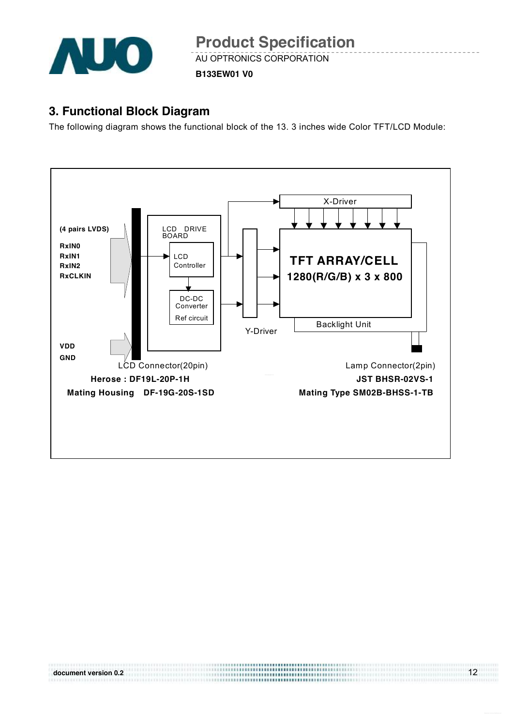

**B133EW01 V0**

## **3. Functional Block Diagram**

The following diagram shows the functional block of the 13. 3 inches wide Color TFT/LCD Module:

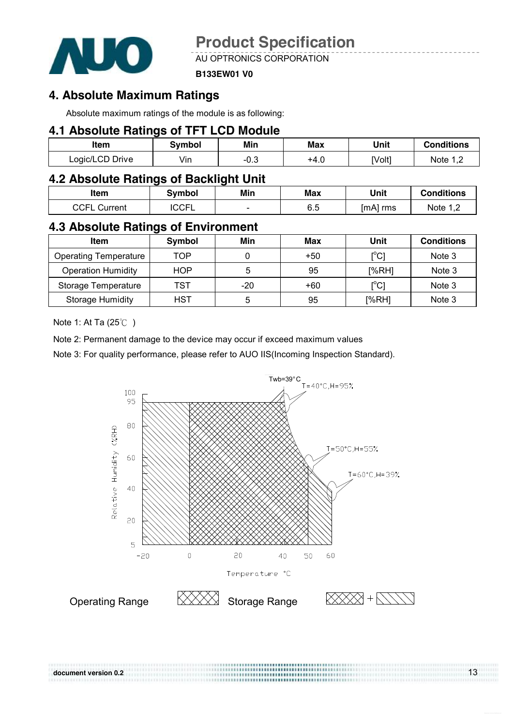

AU OPTRONICS CORPORATION

#### **B133EW01 V0**

### **4. Absolute Maximum Ratings**

Absolute maximum ratings of the module is as following:

### **4.1 Absolute Ratings of TFT LCD Module**

| ltem            | Svmbol | Min    | Max  | Unit   | <b>Conditions</b> |
|-----------------|--------|--------|------|--------|-------------------|
| Logic/LCD Drive | Vin    | $-0.3$ | +4.u | [Volt] | Note 1 C          |

### **4.2 Absolute Ratings of Backlight Unit**

| Item            | <b>Symbol</b> | Min                      | Max | Unit     | <b>Conditions</b> |
|-----------------|---------------|--------------------------|-----|----------|-------------------|
| CCFI<br>Current | <b>ICCFL</b>  | $\overline{\phantom{0}}$ | 6.5 | [mA] rms | Note 1 C          |

### **4.3 Absolute Ratings of Environment**

| <b>Item</b>                  | Symbol     | Min | Max | Unit                                    | <b>Conditions</b> |
|------------------------------|------------|-----|-----|-----------------------------------------|-------------------|
| <b>Operating Temperature</b> | TOP        |     | +50 | $\mathsf{I}^\circ\mathsf{C} \mathsf{I}$ | Note 3            |
| <b>Operation Humidity</b>    | HOP        | 5   | 95  | [%RH]                                   | Note 3            |
| Storage Temperature          | TST        | -20 | +60 | $\mathsf{I}^\circ\mathsf{C} \mathsf{I}$ | Note 3            |
| <b>Storage Humidity</b>      | <b>HST</b> | 5   | 95  | [%RH]                                   | Note 3            |

Note 1: At Ta (25℃ )

Note 2: Permanent damage to the device may occur if exceed maximum values

Note 3: For quality performance, please refer to AUO IIS(Incoming Inspection Standard).

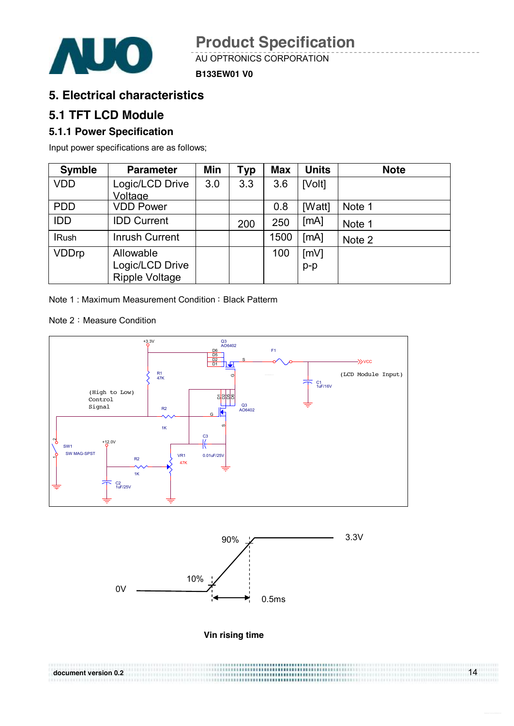

**B133EW01 V0**

## **5. Electrical characteristics**

### **5.1 TFT LCD Module**

#### **5.1.1 Power Specification**

Input power specifications are as follows;

| <b>Symble</b> | <b>Parameter</b>      | Min | Typ | <b>Max</b> | <b>Units</b> | <b>Note</b> |
|---------------|-----------------------|-----|-----|------------|--------------|-------------|
| <b>VDD</b>    | Logic/LCD Drive       | 3.0 | 3.3 | 3.6        | [Volt]       |             |
|               | Voltage               |     |     |            |              |             |
| <b>PDD</b>    | <b>VDD Power</b>      |     |     | 0.8        | [Watt]       | Note 1      |
| <b>IDD</b>    | <b>IDD Current</b>    |     | 200 | 250        | [mA]         | Note 1      |
| <b>IRush</b>  | <b>Inrush Current</b> |     |     | 1500       | [MA]         | Note 2      |
| <b>VDDrp</b>  | Allowable             |     |     | 100        | [mV]         |             |
|               | Logic/LCD Drive       |     |     |            | $p-p$        |             |
|               | <b>Ripple Voltage</b> |     |     |            |              |             |

Note 1: Maximum Measurement Condition: Black Patterm

Note 2: Measure Condition





**Vin rising time**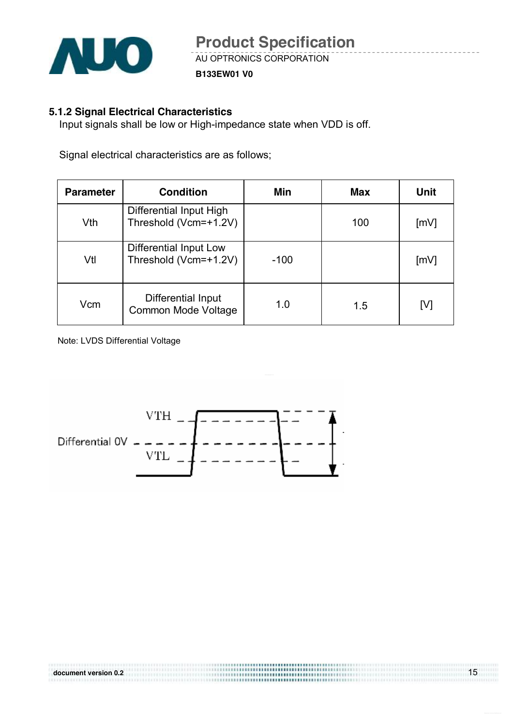

**B133EW01 V0**

### **5.1.2 Signal Electrical Characteristics**

Input signals shall be low or High-impedance state when VDD is off.

Signal electrical characteristics are as follows;

| <b>Parameter</b> | <b>Condition</b>                                 | Min    | <b>Max</b> | Unit |
|------------------|--------------------------------------------------|--------|------------|------|
| Vth              | Differential Input High<br>Threshold (Vcm=+1.2V) |        | 100        | [mV] |
| Vtl              | Differential Input Low<br>Threshold (Vcm=+1.2V)  | $-100$ |            | [mV] |
| Vcm              | Differential Input<br>Common Mode Voltage        | 1.0    | 1.5        | [V]  |

Note: LVDS Differential Voltage

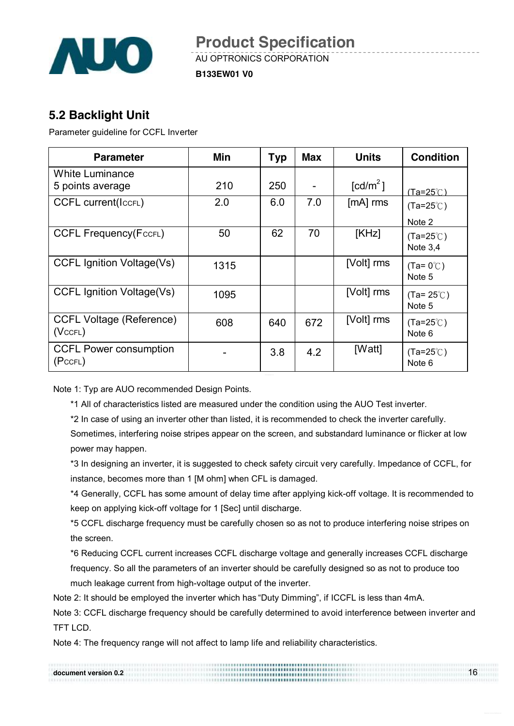

**B133EW01 V0**

## **5.2 Backlight Unit**

Parameter guideline for CCFL Inverter

| <b>Parameter</b>                                 | Min  | <b>Typ</b> | <b>Max</b> | <b>Units</b>           | <b>Condition</b>                 |
|--------------------------------------------------|------|------------|------------|------------------------|----------------------------------|
| <b>White Luminance</b><br>5 points average       | 210  | 250        |            | $\lceil cd/m^2 \rceil$ |                                  |
| <b>CCFL current(IccFL)</b>                       | 2.0  | 6.0        | 7.0        | [mA] rms               | <u>(Ta=25℃)</u>                  |
|                                                  |      |            |            |                        | $(Ta=25^{\circ}C)$<br>Note 2     |
| <b>CCFL Frequency (FccFL)</b>                    | 50   | 62         | 70         | [KHz]                  | $(Ta=25^{\circ}C)$<br>Note $3,4$ |
| <b>CCFL Ignition Voltage(Vs)</b>                 | 1315 |            |            | [Volt] rms             | $(Ta=0^{\circ}C)$<br>Note 5      |
| <b>CCFL Ignition Voltage(Vs)</b>                 | 1095 |            |            | [Volt] rms             | $(Ta=25^{\circ}C)$<br>Note 5     |
| <b>CCFL Voltage (Reference)</b><br>$(Vc$ CFL $)$ | 608  | 640        | 672        | [Volt] rms             | $(Ta=25^{\circ}C)$<br>Note 6     |
| <b>CCFL Power consumption</b><br>(PccFL)         |      | 3.8        | 4.2        | [Watt]                 | $(Ta=25^{\circ}C)$<br>Note 6     |

Note 1: Typ are AUO recommended Design Points.

\*1 All of characteristics listed are measured under the condition using the AUO Test inverter.

\*2 In case of using an inverter other than listed, it is recommended to check the inverter carefully.

Sometimes, interfering noise stripes appear on the screen, and substandard luminance or flicker at low power may happen.

\*3 In designing an inverter, it is suggested to check safety circuit very carefully. Impedance of CCFL, for instance, becomes more than 1 [M ohm] when CFL is damaged.

\*4 Generally, CCFL has some amount of delay time after applying kick-off voltage. It is recommended to keep on applying kick-off voltage for 1 [Sec] until discharge.

\*5 CCFL discharge frequency must be carefully chosen so as not to produce interfering noise stripes on the screen.

\*6 Reducing CCFL current increases CCFL discharge voltage and generally increases CCFL discharge frequency. So all the parameters of an inverter should be carefully designed so as not to produce too much leakage current from high-voltage output of the inverter.

Note 2: It should be employed the inverter which has "Duty Dimming", if ICCFL is less than 4mA.

Note 3: CCFL discharge frequency should be carefully determined to avoid interference between inverter and TFT LCD.

Note 4: The frequency range will not affect to lamp life and reliability characteristics.

| document version 0.2 | 16 |
|----------------------|----|
|                      |    |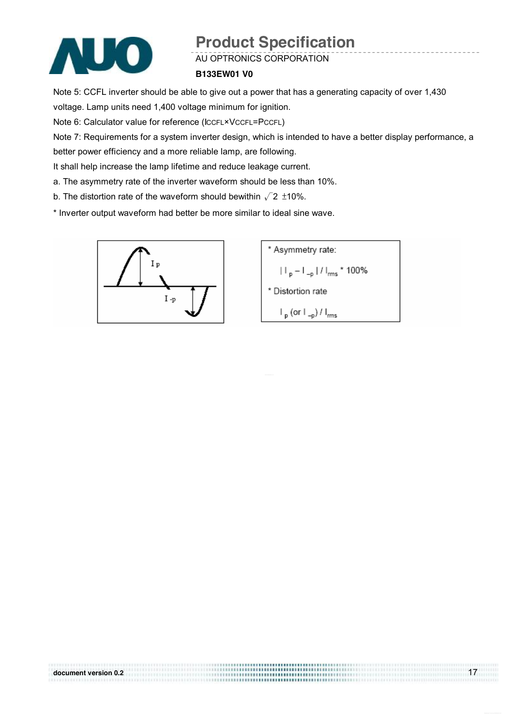

AU OPTRONICS CORPORATION

#### **B133EW01 V0**

Note 5: CCFL inverter should be able to give out a power that has a generating capacity of over 1,430 voltage. Lamp units need 1,400 voltage minimum for ignition.

Note 6: Calculator value for reference (ICCFL×VCCFL=PCCFL)

Note 7: Requirements for a system inverter design, which is intended to have a better display performance, a better power efficiency and a more reliable lamp, are following.

**document version 0.2** 17

It shall help increase the lamp lifetime and reduce leakage current.

- a. The asymmetry rate of the inverter waveform should be less than 10%.
- b. The distortion rate of the waveform should bewithin  $\sqrt{2}$  ±10%.
- \* Inverter output waveform had better be more similar to ideal sine wave.



\n- \* Asymmetry rate:
\n- $$
|I_p - I_{-p}| / I_{rms} \cdot 100\%
$$
\n- \* Distortion rate
\n- $I_p$  (or  $I_{-p}$ ) /  $I_{rms}$
\n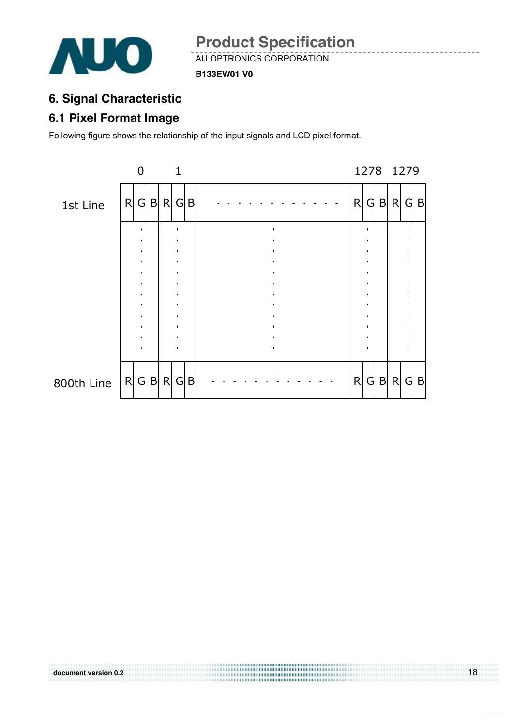

**B133EW01 V0**

## **6. Signal Characteristic**

## **6.1 Pixel Format Image**

Following figure shows the relationship of the input signals and LCD pixel format.

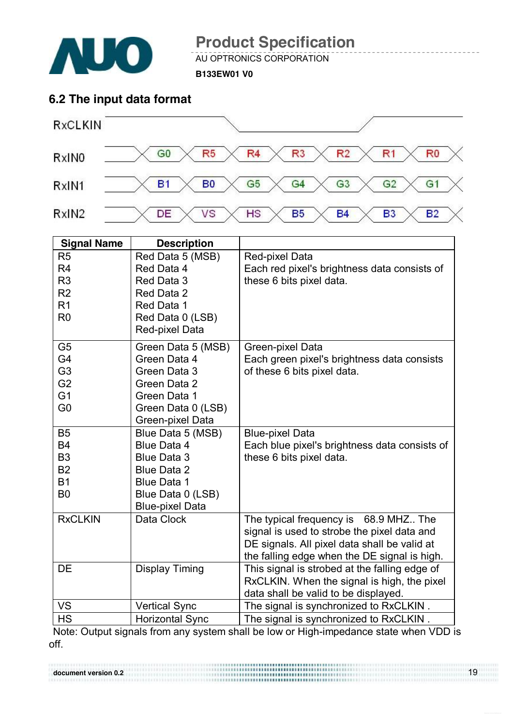

AU OPTRONICS CORPORATION

**B133EW01 V0**

## **6.2 The input data format**



| <b>Signal Name</b> | <b>Description</b>     |                                               |
|--------------------|------------------------|-----------------------------------------------|
| R <sub>5</sub>     | Red Data 5 (MSB)       | Red-pixel Data                                |
| R <sub>4</sub>     | Red Data 4             | Each red pixel's brightness data consists of  |
| R <sub>3</sub>     | Red Data 3             | these 6 bits pixel data.                      |
| R <sub>2</sub>     | Red Data 2             |                                               |
| R <sub>1</sub>     | Red Data 1             |                                               |
| R <sub>0</sub>     | Red Data 0 (LSB)       |                                               |
|                    | Red-pixel Data         |                                               |
| G <sub>5</sub>     | Green Data 5 (MSB)     | Green-pixel Data                              |
| G4                 | Green Data 4           | Each green pixel's brightness data consists   |
| G <sub>3</sub>     | Green Data 3           | of these 6 bits pixel data.                   |
| G <sub>2</sub>     | Green Data 2           |                                               |
| G <sub>1</sub>     | Green Data 1           |                                               |
| G <sub>0</sub>     | Green Data 0 (LSB)     |                                               |
|                    | Green-pixel Data       |                                               |
| <b>B5</b>          | Blue Data 5 (MSB)      | <b>Blue-pixel Data</b>                        |
| <b>B4</b>          | Blue Data 4            | Each blue pixel's brightness data consists of |
| B <sub>3</sub>     | <b>Blue Data 3</b>     | these 6 bits pixel data.                      |
| <b>B2</b>          | <b>Blue Data 2</b>     |                                               |
| <b>B1</b>          | <b>Blue Data 1</b>     |                                               |
| B <sub>0</sub>     | Blue Data 0 (LSB)      |                                               |
|                    | <b>Blue-pixel Data</b> |                                               |
| <b>RxCLKIN</b>     | Data Clock             | The typical frequency is 68.9 MHZ. The        |
|                    |                        | signal is used to strobe the pixel data and   |
|                    |                        | DE signals. All pixel data shall be valid at  |
|                    |                        | the falling edge when the DE signal is high.  |
| <b>DE</b>          | <b>Display Timing</b>  | This signal is strobed at the falling edge of |
|                    |                        | RxCLKIN. When the signal is high, the pixel   |
|                    |                        | data shall be valid to be displayed.          |
| <b>VS</b>          | <b>Vertical Sync</b>   | The signal is synchronized to RxCLKIN.        |
| <b>HS</b>          | <b>Horizontal Sync</b> | The signal is synchronized to RxCLKIN.        |

Note: Output signals from any system shall be low or High-impedance state when VDD is off.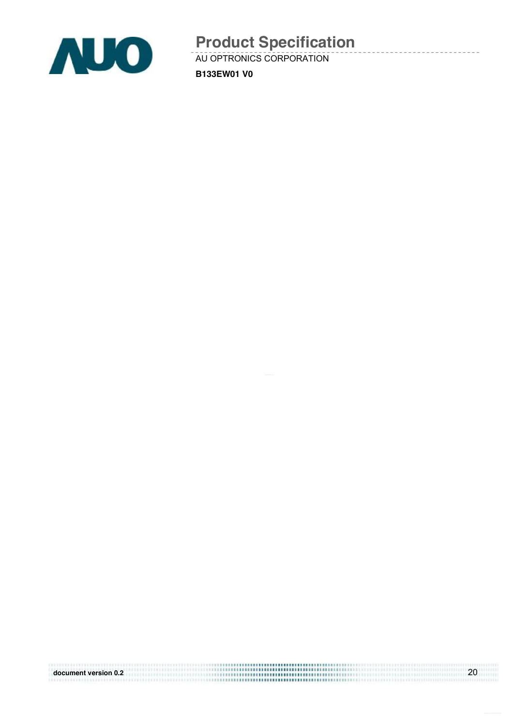

AU OPTRONICS CORPORATION

**B133EW01 V0**

| document version 0.2 |         | 20 |
|----------------------|---------|----|
|                      | <b></b> |    |

i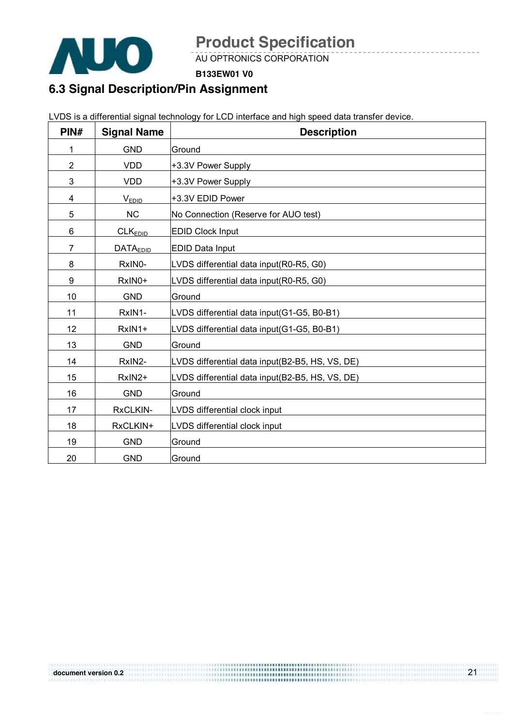

AU OPTRONICS CORPORATION

**B133EW01 V0**

## **6.3 Signal Description/Pin Assignment**

LVDS is a differential signal technology for LCD interface and high speed data transfer device.

| PIN#           | <b>Signal Name</b>  | <b>Description</b>                              |
|----------------|---------------------|-------------------------------------------------|
| 1              | <b>GND</b>          | Ground                                          |
| $\overline{2}$ | <b>VDD</b>          | +3.3V Power Supply                              |
| 3              | <b>VDD</b>          | +3.3V Power Supply                              |
| 4              | V <sub>EDID</sub>   | +3.3V EDID Power                                |
| 5              | <b>NC</b>           | No Connection (Reserve for AUO test)            |
| 6              | CLK <sub>EDID</sub> | <b>EDID Clock Input</b>                         |
| 7              | <b>DATAEDID</b>     | <b>EDID Data Input</b>                          |
| 8              | RxIN0-              | LVDS differential data input(R0-R5, G0)         |
| 9              | RxIN0+              | LVDS differential data input(R0-R5, G0)         |
| 10             | <b>GND</b>          | Ground                                          |
| 11             | RxIN1-              | LVDS differential data input(G1-G5, B0-B1)      |
| 12             | RxIN1+              | LVDS differential data input(G1-G5, B0-B1)      |
| 13             | <b>GND</b>          | Ground                                          |
| 14             | RxIN2-              | LVDS differential data input(B2-B5, HS, VS, DE) |
| 15             | RxIN2+              | LVDS differential data input(B2-B5, HS, VS, DE) |
| 16             | <b>GND</b>          | Ground                                          |
| 17             | RxCLKIN-            | LVDS differential clock input                   |
| 18             | RxCLKIN+            | LVDS differential clock input                   |
| 19             | <b>GND</b>          | Ground                                          |
| 20             | <b>GND</b>          | Ground                                          |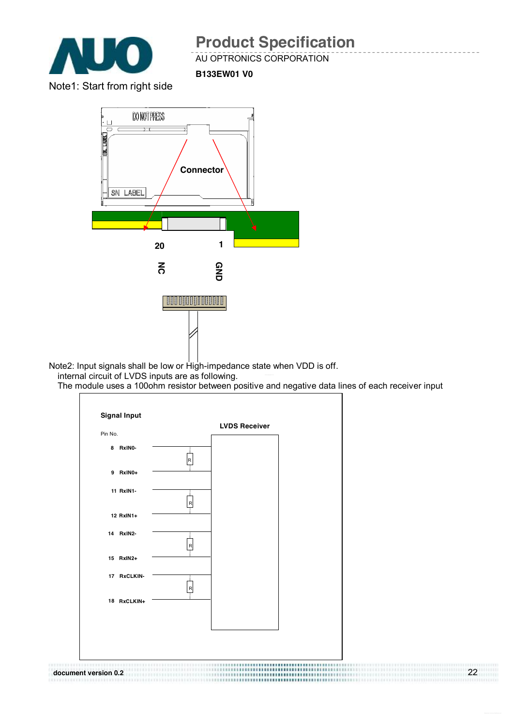

#### AU OPTRONICS CORPORATION

**B133EW01 V0**

Note1: Start from right side



Note2: Input signals shall be low or High-impedance state when VDD is off. internal circuit of LVDS inputs are as following.

The module uses a 100ohm resistor between positive and negative data lines of each receiver input

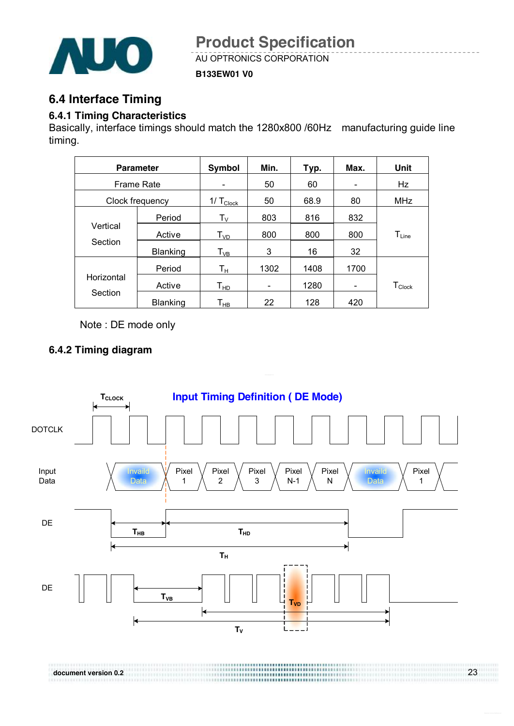

**B133EW01 V0**

## **6.4 Interface Timing**

#### **6.4.1 Timing Characteristics**

Basically, interface timings should match the 1280x800 /60Hz manufacturing guide line timing.

|                   | <b>Parameter</b> | Symbol                        | Min. | Typ. | Max.                         | Unit                 |
|-------------------|------------------|-------------------------------|------|------|------------------------------|----------------------|
| <b>Frame Rate</b> |                  | $\overline{\phantom{0}}$      | 50   | 60   | $\qquad \qquad \blacksquare$ | Hz                   |
|                   | Clock frequency  | $1/\mathsf{T}_{\text{Clock}}$ | 50   | 68.9 | 80                           | <b>MHz</b>           |
|                   | Period           | $\mathsf{T}_\mathsf{V}$       | 803  | 816  | 832                          |                      |
| Vertical          | Active           | $T_{VD}$                      | 800  | 800  | 800                          | $T_{Line}$           |
| Section           | Blanking         | $T_{VB}$                      | 3    | 16   | 32                           |                      |
|                   | Period           | $T_{\rm H}$                   | 1302 | 1408 | 1700                         |                      |
| Horizontal        | Active           | $T_{HD}$                      | $\,$ | 1280 |                              | $T_{\mathsf{Clock}}$ |
| Section           | <b>Blanking</b>  | Т <sub>нв</sub>               | 22   | 128  | 420                          |                      |

Note : DE mode only

### **6.4.2 Timing diagram**

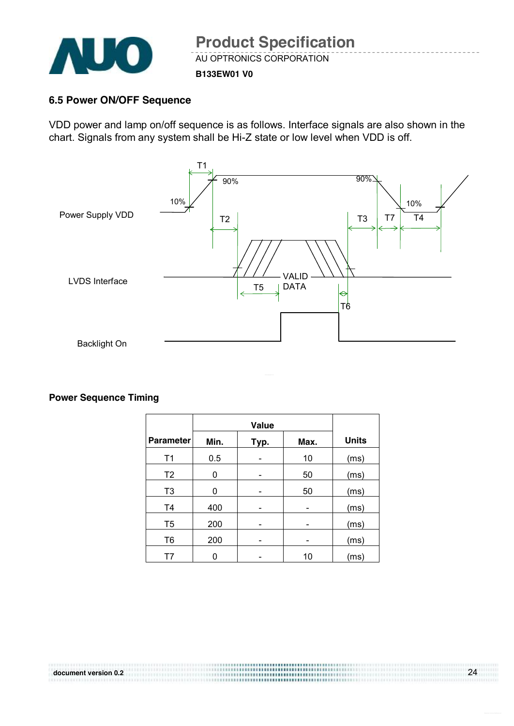

#### **B133EW01 V0**

#### **6.5 Power ON/OFF Sequence**

VDD power and lamp on/off sequence is as follows. Interface signals are also shown in the chart. Signals from any system shall be Hi-Z state or low level when VDD is off.



#### **Power Sequence Timing**

| <b>Parameter</b> | Min. | Typ. | Max. | <b>Units</b> |
|------------------|------|------|------|--------------|
| T <sub>1</sub>   | 0.5  |      | 10   | (ms)         |
| T <sub>2</sub>   | 0    |      | 50   | (ms)         |
| T <sub>3</sub>   | 0    |      | 50   | (ms)         |
| T <sub>4</sub>   | 400  |      |      | (ms)         |
| T <sub>5</sub>   | 200  |      |      | (ms)         |
| T <sub>6</sub>   | 200  |      |      | (ms)         |
| Τ7               |      |      | 10   | (ms)         |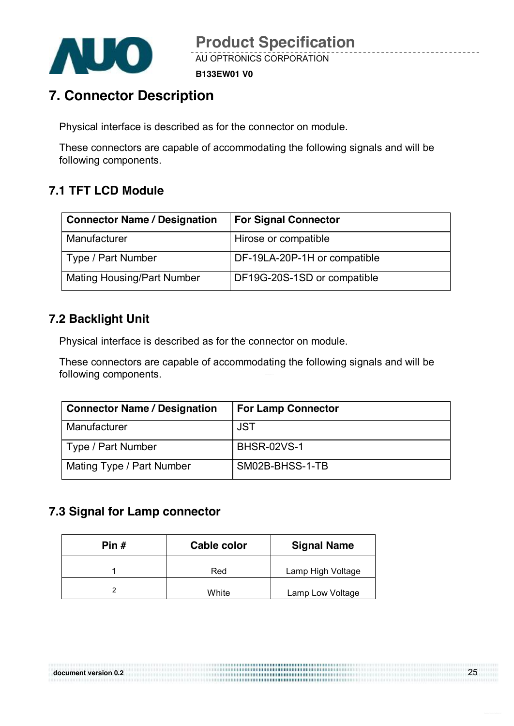

**B133EW01 V0**

# **7. Connector Description**

Physical interface is described as for the connector on module.

These connectors are capable of accommodating the following signals and will be following components.

## **7.1 TFT LCD Module**

| <b>Connector Name / Designation</b> | <b>For Signal Connector</b>  |
|-------------------------------------|------------------------------|
| <b>Manufacturer</b>                 | Hirose or compatible         |
| Type / Part Number                  | DF-19LA-20P-1H or compatible |
| <b>Mating Housing/Part Number</b>   | DF19G-20S-1SD or compatible  |

## **7.2 Backlight Unit**

Physical interface is described as for the connector on module.

These connectors are capable of accommodating the following signals and will be following components.

| <b>Connector Name / Designation</b> | <b>For Lamp Connector</b> |
|-------------------------------------|---------------------------|
| Manufacturer                        | <b>JST</b>                |
| Type / Part Number                  | <b>BHSR-02VS-1</b>        |
| Mating Type / Part Number           | SM02B-BHSS-1-TB           |

## **7.3 Signal for Lamp connector**

| Pin # | Cable color | <b>Signal Name</b> |  |  |
|-------|-------------|--------------------|--|--|
|       | Red         | Lamp High Voltage  |  |  |
|       | White       | Lamp Low Voltage   |  |  |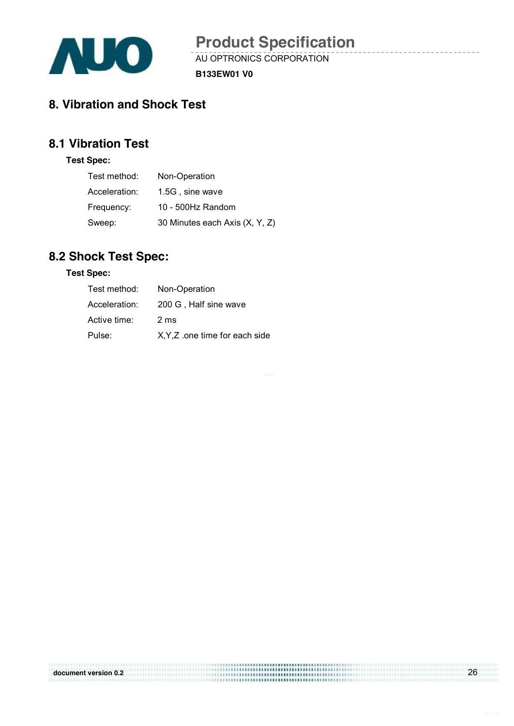

**B133EW01 V0**

## **8. Vibration and Shock Test**

### **8.1 Vibration Test**

#### **Test Spec:**

| Test method:  | Non-Operation                  |
|---------------|--------------------------------|
| Acceleration: | 1.5G, sine wave                |
| Frequency:    | 10 - 500Hz Random              |
| Sweep:        | 30 Minutes each Axis (X, Y, Z) |

### **8.2 Shock Test Spec:**

#### **Test Spec:**

| Test method:  | Non-Operation                  |
|---------------|--------------------------------|
| Acceleration: | 200 G, Half sine wave          |
| Active time:  | 2 ms                           |
| Pulse:        | X, Y, Z one time for each side |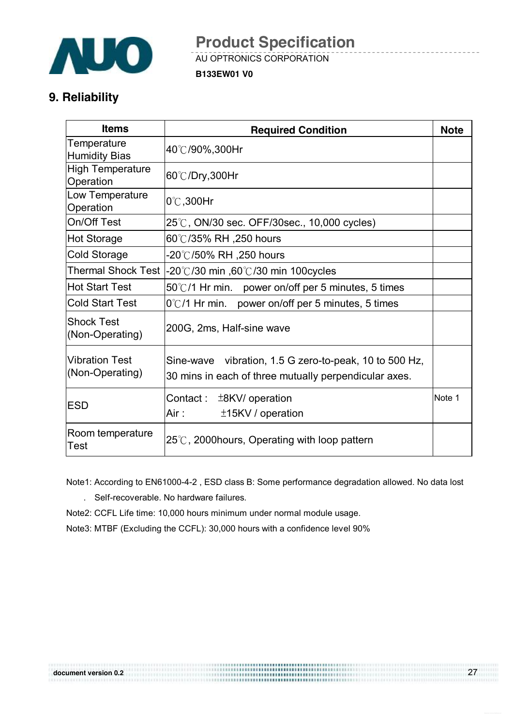

**B133EW01 V0**

## **9. Reliability**

| <b>Items</b>                             | <b>Required Condition</b>                                                                                       | <b>Note</b> |
|------------------------------------------|-----------------------------------------------------------------------------------------------------------------|-------------|
| Temperature<br><b>Humidity Bias</b>      | 40℃/90%,300Hr                                                                                                   |             |
| <b>High Temperature</b><br>Operation     | 60℃/Dry,300Hr                                                                                                   |             |
| Low Temperature<br>Operation             | 0℃,300Hr                                                                                                        |             |
| On/Off Test                              | 25℃, ON/30 sec. OFF/30sec., 10,000 cycles)                                                                      |             |
| <b>Hot Storage</b>                       | 60℃/35% RH ,250 hours                                                                                           |             |
| <b>Cold Storage</b>                      | -20℃/50% RH ,250 hours                                                                                          |             |
| <b>Thermal Shock Test</b>                | -20°C/30 min ,60°C/30 min 100cycles                                                                             |             |
| <b>Hot Start Test</b>                    | $50^{\circ}$ C/1 Hr min. power on/off per 5 minutes, 5 times                                                    |             |
| <b>Cold Start Test</b>                   | $0^{\circ}$ C/1 Hr min. power on/off per 5 minutes, 5 times                                                     |             |
| <b>Shock Test</b><br>(Non-Operating)     | 200G, 2ms, Half-sine wave                                                                                       |             |
| <b>Vibration Test</b><br>(Non-Operating) | Sine-wave vibration, 1.5 G zero-to-peak, 10 to 500 Hz,<br>30 mins in each of three mutually perpendicular axes. |             |
| <b>ESD</b>                               | Contact :<br>$±8$ KV/ operation<br>Air :<br>$±15KV/$ operation                                                  | Note 1      |
| Room temperature<br>Test                 | $25^{\circ}$ C, 2000 hours, Operating with loop pattern                                                         |             |

 Note1: According to EN61000-4-2 , ESD class B: Some performance degradation allowed. No data lost . Self-recoverable. No hardware failures.

Note2: CCFL Life time: 10,000 hours minimum under normal module usage.

Note3: MTBF (Excluding the CCFL): 30,000 hours with a confidence level 90%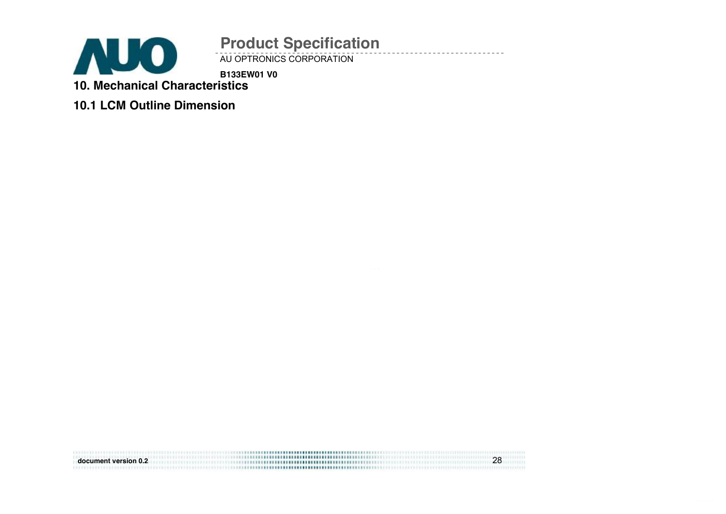

**B133EW01 V0**

**10.1 LCM Outline Dimension**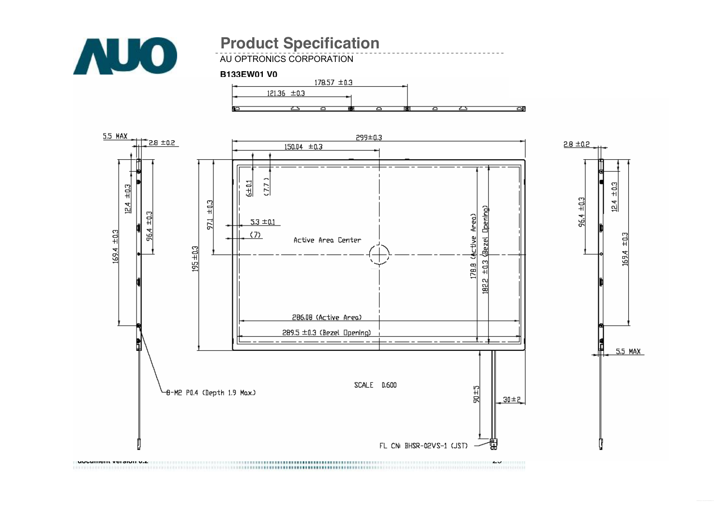



FL CN BHSR-02VS-1 (JST)

₩

**document version 0.2** 29

 $±0.3$ 

69.4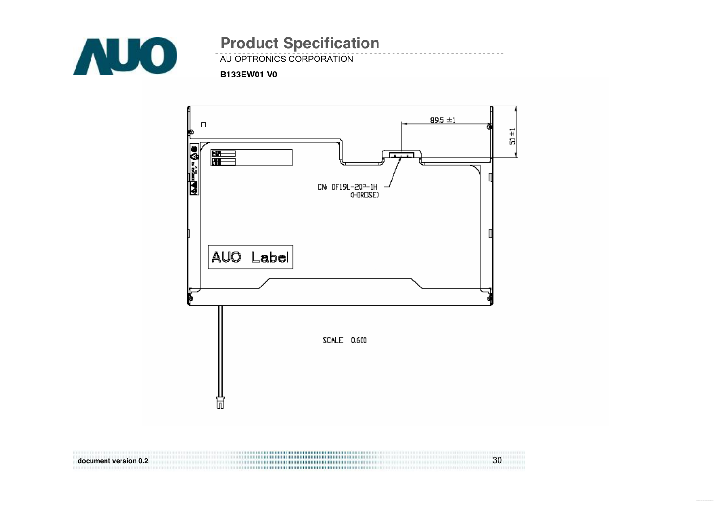

#### **B133EW01 V0**

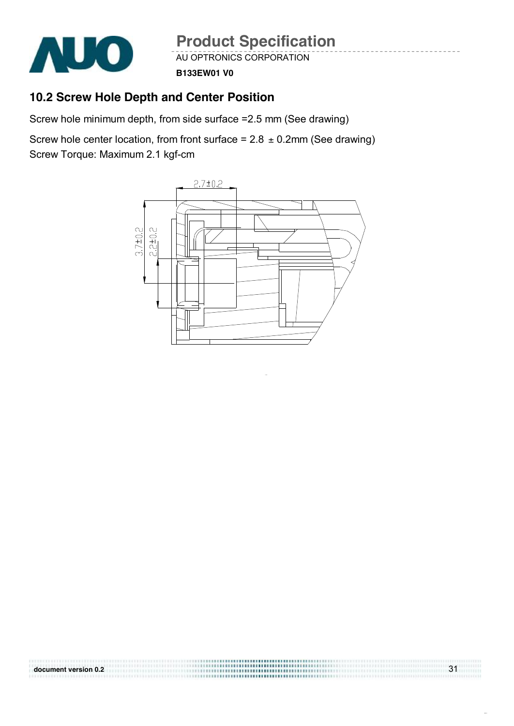

AU OPTRONICS CORPORATION

**B133EW01 V0**

## **10.2 Screw Hole Depth and Center Position**

Screw hole minimum depth, from side surface =2.5 mm (See drawing)

Screw hole center location, from front surface =  $2.8 \pm 0.2$ mm (See drawing) Screw Torque: Maximum 2.1 kgf-cm

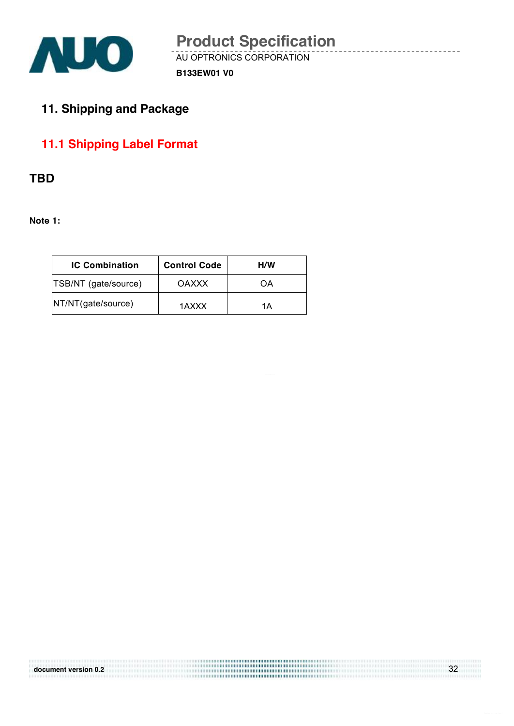

**11. Shipping and Package** 

## **11.1 Shipping Label Format**

### **TBD**

#### **Note 1:**

| <b>IC Combination</b> | <b>Control Code</b> | H/W |
|-----------------------|---------------------|-----|
| TSB/NT (gate/source)  | <b>OAXXX</b>        | OΑ  |
| NT/NT(gate/source)    | 1AXXX               | 1Α  |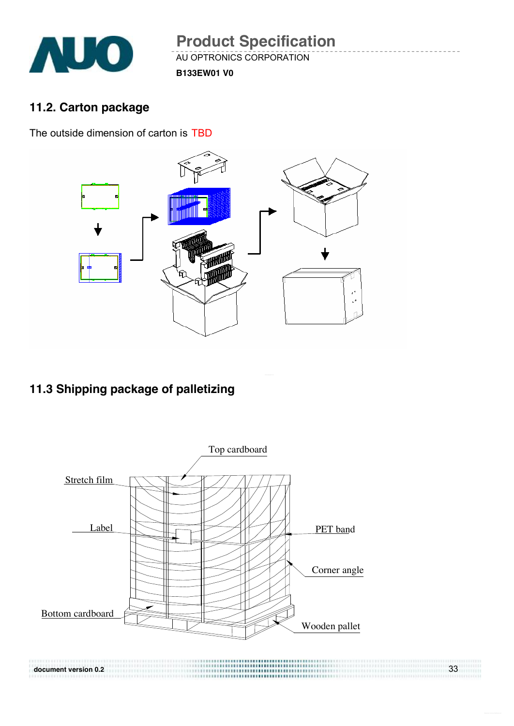

## **11.2. Carton package**

The outside dimension of carton is TBD



## **11.3 Shipping package of palletizing**

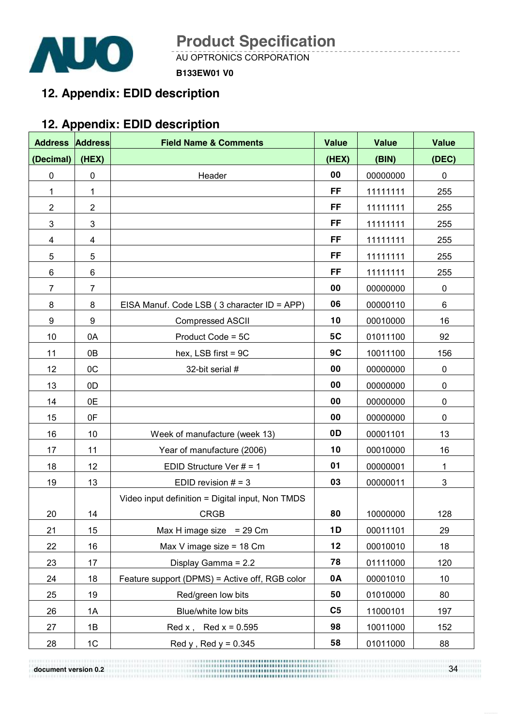

**B133EW01 V0**

## **12. Appendix: EDID description**

## **12. Appendix: EDID description**

| <b>Address</b>  | <b>Address</b>          | <b>Field Name &amp; Comments</b>                 | <b>Value</b>   | <b>Value</b> | <b>Value</b> |
|-----------------|-------------------------|--------------------------------------------------|----------------|--------------|--------------|
| (Decimal)       | (HEX)                   |                                                  | (HEX)          | (BIN)        | (DEC)        |
| 0               | $\mathbf 0$             | Header                                           | 00             | 00000000     | 0            |
| 1               | 1                       |                                                  | <b>FF</b>      | 11111111     | 255          |
| $\overline{c}$  | $\overline{2}$          |                                                  | <b>FF</b>      | 11111111     | 255          |
| 3               | 3                       |                                                  | <b>FF</b>      | 11111111     | 255          |
| 4               | $\overline{\mathbf{4}}$ |                                                  | <b>FF</b>      | 11111111     | 255          |
| 5               | 5                       |                                                  | <b>FF</b>      | 11111111     | 255          |
| 6               | 6                       |                                                  | <b>FF</b>      | 11111111     | 255          |
| $\overline{7}$  | $\overline{7}$          |                                                  | 00             | 00000000     | $\pmb{0}$    |
| 8               | 8                       | EISA Manuf. Code LSB (3 character ID = APP)      | 06             | 00000110     | 6            |
| 9               | 9                       | <b>Compressed ASCII</b>                          | 10             | 00010000     | 16           |
| 10              | 0A                      | Product Code = 5C                                | 5C             | 01011100     | 92           |
| 11              | 0B                      | hex, LSB first = 9C                              | 9C             | 10011100     | 156          |
| 12 <sub>2</sub> | 0C                      | 32-bit serial #                                  | 00             | 00000000     | $\mathbf 0$  |
| 13              | 0D                      |                                                  | 00             | 00000000     | $\pmb{0}$    |
| 14              | 0E                      |                                                  | 00             | 00000000     | $\pmb{0}$    |
| 15              | 0F                      |                                                  | 00             | 00000000     | 0            |
| 16              | 10                      | Week of manufacture (week 13)                    | 0D             | 00001101     | 13           |
| 17              | 11                      | Year of manufacture (2006)                       | 10             | 00010000     | 16           |
| 18              | 12                      | EDID Structure Ver $# = 1$                       | 01             | 00000001     | 1            |
| 19              | 13                      | EDID revision $# = 3$                            | 03             | 00000011     | 3            |
|                 |                         | Video input definition = Digital input, Non TMDS |                |              |              |
| 20              | 14                      | <b>CRGB</b>                                      | 80             | 10000000     | 128          |
| 21              | 15                      | Max H image size $= 29$ Cm                       | 1D             | 00011101     | 29           |
| 22              | 16                      | Max V image size = 18 Cm                         | 12             | 00010010     | 18           |
| 23              | 17                      | Display Gamma = 2.2                              | 78             | 01111000     | 120          |
| 24              | 18                      | Feature support (DPMS) = Active off, RGB color   | 0A             | 00001010     | 10           |
| 25              | 19                      | Red/green low bits                               | 50             | 01010000     | 80           |
| 26              | 1A                      | Blue/white low bits                              | C <sub>5</sub> | 11000101     | 197          |
| 27              | 1B                      | Red x, Red $x = 0.595$                           | 98             | 10011000     | 152          |
| 28              | 1C                      | Red y, Red $y = 0.345$                           | 58             | 01011000     | 88           |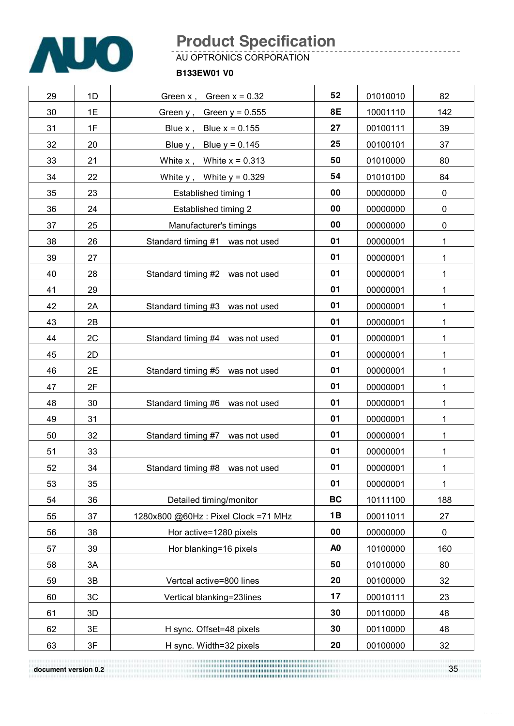

AU OPTRONICS CORPORATION

#### **B133EW01 V0**

| 29 | 1D | Green $x$ , Green $x = 0.32$        | 52             | 01010010 | 82           |
|----|----|-------------------------------------|----------------|----------|--------------|
| 30 | 1E | Green $y$ , Green $y = 0.555$       | <b>8E</b>      | 10001110 | 142          |
| 31 | 1F | Blue x, Blue $x = 0.155$            | 27             | 00100111 | 39           |
| 32 | 20 | Blue $y$ , Blue $y = 0.145$         | 25             | 00100101 | 37           |
| 33 | 21 | White $x$ , White $x = 0.313$       | 50             | 01010000 | 80           |
| 34 | 22 | White $y$ , White $y = 0.329$       | 54             | 01010100 | 84           |
| 35 | 23 | Established timing 1                | 00             | 00000000 | 0            |
| 36 | 24 | Established timing 2                | 00             | 00000000 | 0            |
| 37 | 25 | Manufacturer's timings              | 00             | 00000000 | 0            |
| 38 | 26 | Standard timing #1 was not used     | 01             | 00000001 | 1            |
| 39 | 27 |                                     | 01             | 00000001 | 1            |
| 40 | 28 | Standard timing #2 was not used     | 01             | 00000001 | 1            |
| 41 | 29 |                                     | 01             | 00000001 | 1            |
| 42 | 2A | Standard timing #3 was not used     | 01             | 00000001 | 1            |
| 43 | 2B |                                     | 01             | 00000001 | 1            |
| 44 | 2C | Standard timing #4 was not used     | 01             | 00000001 | 1            |
| 45 | 2D |                                     | 01             | 00000001 | 1            |
| 46 | 2E | Standard timing #5 was not used     | 01             | 00000001 | 1            |
| 47 | 2F |                                     | 01             | 00000001 | 1            |
| 48 | 30 | Standard timing #6 was not used     | 01             | 00000001 | 1            |
| 49 | 31 |                                     | 01             | 00000001 | 1            |
| 50 | 32 | Standard timing #7 was not used     | 01             | 00000001 | 1            |
| 51 | 33 |                                     | 01             | 00000001 | 1            |
| 52 | 34 | Standard timing #8 was not used     | 01             | 00000001 | $\mathbf{1}$ |
| 53 | 35 |                                     | 01             | 00000001 | 1            |
| 54 | 36 | Detailed timing/monitor             | <b>BC</b>      | 10111100 | 188          |
| 55 | 37 | 1280x800 @60Hz: Pixel Clock =71 MHz | 1B             | 00011011 | 27           |
| 56 | 38 | Hor active=1280 pixels              | 00             | 00000000 | 0            |
| 57 | 39 | Hor blanking=16 pixels              | A <sub>0</sub> | 10100000 | 160          |
| 58 | 3A |                                     | 50             | 01010000 | 80           |
| 59 | 3B | Vertcal active=800 lines            | 20             | 00100000 | 32           |
| 60 | 3C | Vertical blanking=23lines           | 17             | 00010111 | 23           |
| 61 | 3D |                                     | 30             | 00110000 | 48           |
| 62 | 3E | H sync. Offset=48 pixels            | 30             | 00110000 | 48           |
| 63 | 3F | H sync. Width=32 pixels             | 20             | 00100000 | 32           |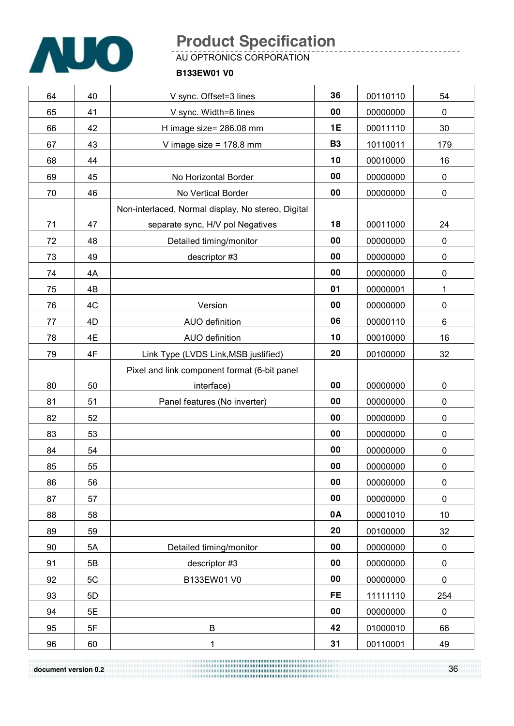

AU OPTRONICS CORPORATION

#### **B133EW01 V0**

| 64 | 40 | V sync. Offset=3 lines                             | 36        | 00110110 | 54          |
|----|----|----------------------------------------------------|-----------|----------|-------------|
| 65 | 41 | V sync. Width=6 lines                              | 00        | 00000000 | $\pmb{0}$   |
| 66 | 42 | H image size= 286.08 mm                            | <b>1E</b> | 00011110 | 30          |
| 67 | 43 | V image size = $178.8$ mm                          | <b>B3</b> | 10110011 | 179         |
| 68 | 44 |                                                    | 10        | 00010000 | 16          |
| 69 | 45 | No Horizontal Border                               | 00        | 00000000 | $\pmb{0}$   |
| 70 | 46 | No Vertical Border                                 | 00        | 00000000 | $\pmb{0}$   |
|    |    | Non-interlaced, Normal display, No stereo, Digital |           |          |             |
| 71 | 47 | separate sync, H/V pol Negatives                   | 18        | 00011000 | 24          |
| 72 | 48 | Detailed timing/monitor                            | 00        | 00000000 | $\mathbf 0$ |
| 73 | 49 | descriptor #3                                      | 00        | 00000000 | $\pmb{0}$   |
| 74 | 4A |                                                    | 00        | 00000000 | $\pmb{0}$   |
| 75 | 4B |                                                    | 01        | 00000001 | 1           |
| 76 | 4C | Version                                            | 00        | 00000000 | $\pmb{0}$   |
| 77 | 4D | AUO definition                                     | 06        | 00000110 | 6           |
| 78 | 4E | AUO definition                                     | 10        | 00010000 | 16          |
| 79 | 4F | Link Type (LVDS Link, MSB justified)               | 20        | 00100000 | 32          |
|    |    | Pixel and link component format (6-bit panel       |           |          |             |
| 80 | 50 | interface)                                         | 00        | 00000000 | $\pmb{0}$   |
| 81 | 51 | Panel features (No inverter)                       | 00        | 00000000 | $\pmb{0}$   |
| 82 | 52 |                                                    | 00        | 00000000 | $\pmb{0}$   |
| 83 | 53 |                                                    | 00        | 00000000 | $\pmb{0}$   |
| 84 | 54 |                                                    | 00        | 00000000 | 0           |
| 85 | 55 |                                                    | 00        | 00000000 | 0           |
| 86 | 56 |                                                    | 00        | 00000000 | 0           |
| 87 | 57 |                                                    | 00        | 00000000 | $\mathbf 0$ |
| 88 | 58 |                                                    | 0A        | 00001010 | 10          |
| 89 | 59 |                                                    | 20        | 00100000 | 32          |
| 90 | 5A | Detailed timing/monitor                            | 00        | 00000000 | 0           |
| 91 | 5B | descriptor #3                                      | 00        | 00000000 | $\pmb{0}$   |
| 92 | 5C | B133EW01 V0                                        | 00        | 00000000 | 0           |
| 93 | 5D |                                                    | <b>FE</b> | 11111110 | 254         |
| 94 | 5E |                                                    | 00        | 00000000 | 0           |
| 95 | 5F | B                                                  | 42        | 01000010 | 66          |
| 96 | 60 | 1                                                  | 31        | 00110001 | 49          |